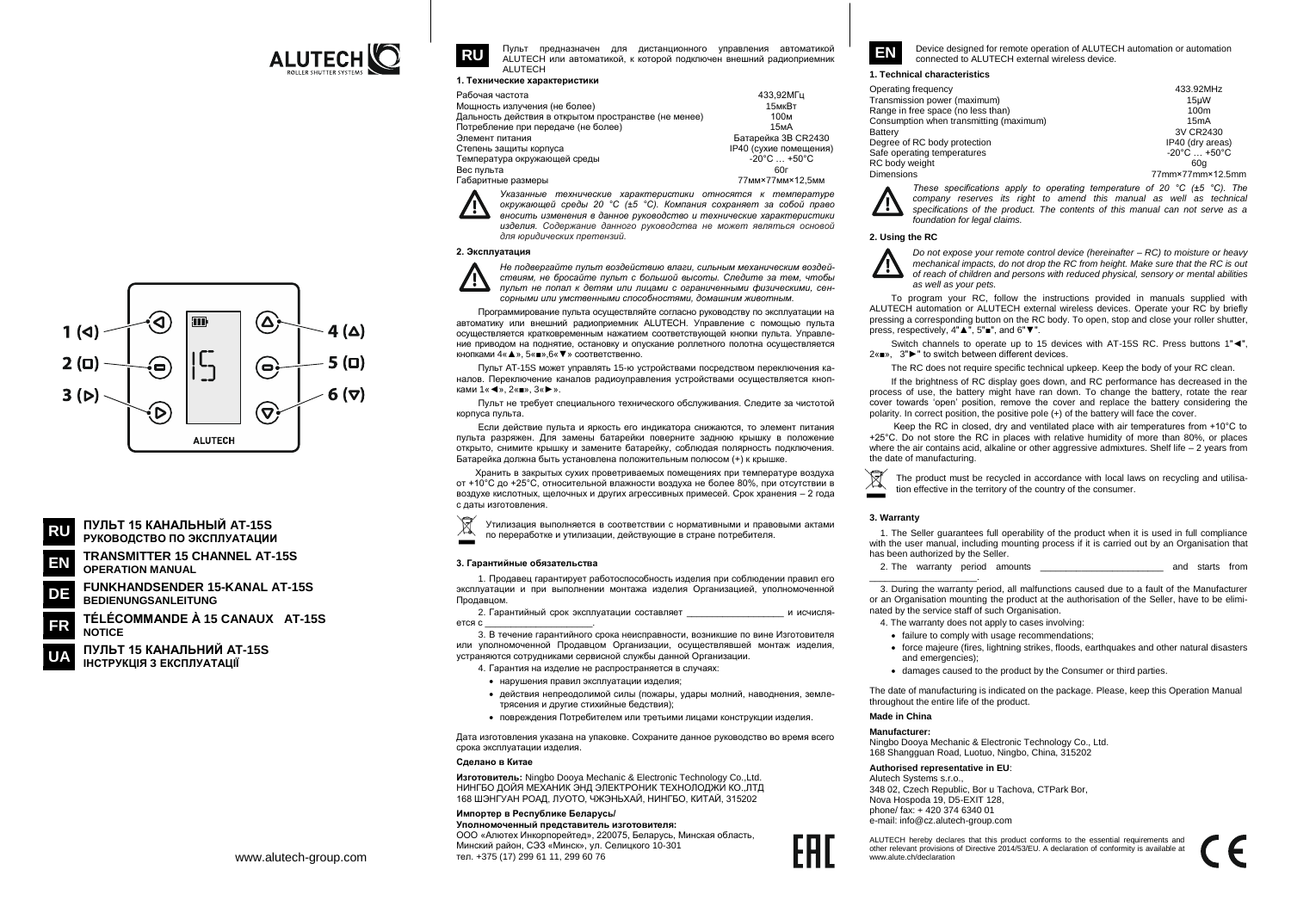

Пульт предназначен для дистанционного управления автоматикой АІ UTECH или автоматикой к которой полключен внешний радиоприемник ALUTECH

1. Технические характеристики

| Мощность излучения (не более)<br>15мкВт                                      |  |
|------------------------------------------------------------------------------|--|
|                                                                              |  |
| Дальность действия в открытом пространстве (не менее)<br>100 <sub>M</sub>    |  |
| Потребление при передаче (не более)<br>15 <sub>M</sub> A                     |  |
| Батарейка 3B CR2430<br>Элемент питания                                       |  |
| IP40 (сухие помещения)<br>Степень защиты корпуса                             |  |
| $-20^{\circ}$ C $+50^{\circ}$ C<br>Температура окружающей среды              |  |
| Вес пульта<br>60г                                                            |  |
| 77 <sub>MM</sub> ×77 <sub>MM</sub> ×12.5 <sub>MM</sub><br>Габаритные размеры |  |

Указанные технические характеристики относятся к температуре

окружающей среды 20 °С (±5 °С). Компания сохраняет за собой право вносить изменения в данное руководство и технические характеристики изделия. Содержание данного руководства не может являться основой для юридических претензий.

# 2. Эксплуатация

**RU** 



Не подвергайте пульт воздействию влаги, сильным механическим воздействиям не бросайте пульт с большой высоты. Следите за тем чтобы пульт не попал к детям или лицами с ограниченными физическими, сенсорными или умственными способностями, домашним животным.

Программирование пульта осуществляйте согласно руководству по эксплуатации на автоматику или внешний радиоприемник ALUTECH. Управление с помощью пульта осуществляется кратковременным нажатием соответствующей кнопки пульта. Управление приводом на поднятие, остановку и опускание роллетного полотна осуществляется *VUODVAMM*  $\Lambda u \triangle x$  *5*  $u = x$  *6*  $u \blacktriangledown x$  *contentionum* 

Пульт AT-15S может управлять 15-ю устройствами посредством переключения каналов. Переключение каналов радиоуправления устройствами осуществляется кнопками  $1\ll 1$ ».  $2\ll 1$ ».  $3\ll 5\ll 5$ 

Пульт не требует специального технического обслуживания. Следите за чистотой корпуса пульта.

Если действие пульта и яркость его индикатора снижаются, то элемент питания пульта разряжен. Для замены батарейки поверните заднюю крышку в положение открыто, снимите крышку и замените батарейку, соблюдая полярность подключения. Батарейка должна быть установлена положительным полюсом (+) к крышке.

Хранить в закрытых сухих проветриваемых помещениях при температуре воздуха от +10°С до +25°С, относительной влажности воздуха не более 80%, при отсутствии в воздухе кислотных, щелочных и других агрессивных примесей. Срок хранения - 2 года С ЛЯТЫ ИЗГОТОВЛАНИЯ

 $\boxtimes$ Утилизация выполняется в соответствии с нормативными и правовыми актами по переработке и утилизации, действующие в стране потребителя.

## 3. Гарантийные обязательства

1. Продавец гарантирует работоспособность изделия при соблюдении правил его эксплуатации и при выполнении монтажа изделия Организацией, уполномоченной *<u><u>DOOABUOM</u>*</u>

2 Гарантийный срок эксплуатации составляет и исчисля ется с

3. В течение гарантийного срока неисправности, возникшие по вине Изготовителя или уполномоченной Продавцом Организации, осуществлявшей монтаж изделия, устраняются сотрудниками сервисной службы данной Организации.

4. Гарантия на изделие не распространяется в случаях:

- нарушения правил эксплуатации изделия:
- действия непреодолимой силы (пожары, удары молний, наводнения, землетрясения и другие стихийные бедствия);
- повреждения Потребителем или третьими лицами конструкции изделия.

Дата изготовления указана на упаковке. Сохраните данное руководство во время всего срока эксплуатации изделия

#### Сделано в Китае

Изготовитель: Ningbo Doova Mechanic & Electronic Technology Co., Ltd. НИНГБО ДОЙЯ МЕХАНИК ЭНД ЭЛЕКТРОНИК ТЕХНОЛОДЖЙ КО. ЛТД 168 ШЭНГУАН РОАД, ЛУОТО, ЧЖЭНЬХАЙ, НИНГБО, КИТАЙ, 315202

# Импортер в Республике Беларусь/

Уполномоченный представитель изготовителя: ООО «Алютех Инкорпорейтед», 220075, Беларусь, Минская область, Минский район. СЭЗ «Минск», ул. Селицкого 10-301 тел. +375 (17) 299 61 11, 299 60 76

Device designed for remote operation of ALUTECH automation or automation EN connected to ALUTECH external wireless device

#### 1. Technical characteristics

| Operating frequency                     | 433.92MHz                       |
|-----------------------------------------|---------------------------------|
| Transmission power (maximum)            | 15uW                            |
| Range in free space (no less than)      | 100m                            |
| Consumption when transmitting (maximum) | 15mA                            |
| Battery                                 | 3V CR2430                       |
| Degree of RC body protection            | IP40 (dry areas)                |
| Safe operating temperatures             | $-20^{\circ}$ C $+50^{\circ}$ C |
| RC body weight                          | 60a                             |
| <b>Dimensions</b>                       | 77mm×77mm×12.5mm                |

These specifications apply to operating temperature of 20  $^{\circ}$ C ( $\pm$ 5  $^{\circ}$ C). The company reserves its right to amend this manual as well as technical specifications of the product. The contents of this manual can not serve as a foundation for legal claims

# 2. Using the RC

75

Do not expose your remote control device (hereinafter  $-$  RC) to moisture or heavy mechanical impacts, do not drop the RC from height. Make sure that the RC is out of reach of children and persons with reduced physical, sensory or mental abilities as well as your pets

To program your RC, follow the instructions provided in manuals supplied with ALUTECH automation or ALUTECH external wireless devices. Operate your RC by briefly pressing a corresponding button on the RC body. To open, stop and close your roller shutter, press, respectively, 4"▲", 5"■", and 6"▼".

Switch channels to operate up to 15 devices with AT-15S RC. Press buttons 1"<", 2«■». 3"▶" to switch between different devices.

The RC does not require specific technical upkeep. Keep the body of your RC clean.

If the brightness of RC display goes down, and RC performance has decreased in the process of use, the battery might have ran down. To change the battery, rotate the rear cover towards 'open' position, remove the cover and replace the battery considering the polarity. In correct position, the positive pole (+) of the battery will face the cover.

Keep the RC in closed, dry and ventilated place with air temperatures from +10°C to +25°C. Do not store the RC in places with relative humidity of more than 80%, or places where the air contains acid, alkaline or other aggressive admixtures. Shelf life  $-2$  years from the date of manufacturing.

The product must be recycled in accordance with local laws on recycling and utilisation effective in the territory of the country of the consumer.

# 3. Warranty

1. The Seller guarantees full operability of the product when it is used in full compliance with the user manual, including mounting process if it is carried out by an Organisation that has been authorized by the Seller.

2. The warranty period amounts and starts from

3. During the warranty period, all malfunctions caused due to a fault of the Manufacturer or an Organisation mounting the product at the authorisation of the Seller, have to be eliminated by the service staff of such Organisation.

4. The warranty does not apply to cases involving:

- failure to comply with usage recommendations:
- force maieure (fires, lightning strikes, floods, earthquakes and other natural disasters and emergencies):
- damages caused to the product by the Consumer or third parties.

The date of manufacturing is indicated on the package. Please, keep this Operation Manual throughout the entire life of the product.

# Made in China

# Manufacturer-

Ningbo Doova Mechanic & Electronic Technology Co., Ltd. 168 Shangquan Road, Luotuo, Ningbo, China, 315202

# Authorised representative in EU:

Alutech Systems s r o 348 02, Czech Republic, Bor u Tachova, CTPark Bor, Nova Hospoda 19, D5-EXIT 128, phone/ fax: +420 374 6340 01 e-mail: info@cz.alutech-group.com

ALUTECH hereby declares that this product conforms to the essential requirements and other relevant provisions of Directive 2014/53/EU. A declaration of conformity is available at www.alute.ch/declaration





- **TRANSMITTER 15 CHANNEL AT-15S** FN **OPERATION MANUAL**
- **FUNKHANDSENDER 15-KANAL AT-15S** DE **BEDIENUNGSANLEITUNG**

TÉLÉCOMMANDE À 15 CANAUX AT-15S **NOTICE** 

ПУЛЬТ 15 КАНАЛЬНИЙ AT-15S ІНСТРУКЦІЯ З ЕКСПЛУАТАЦІЇ